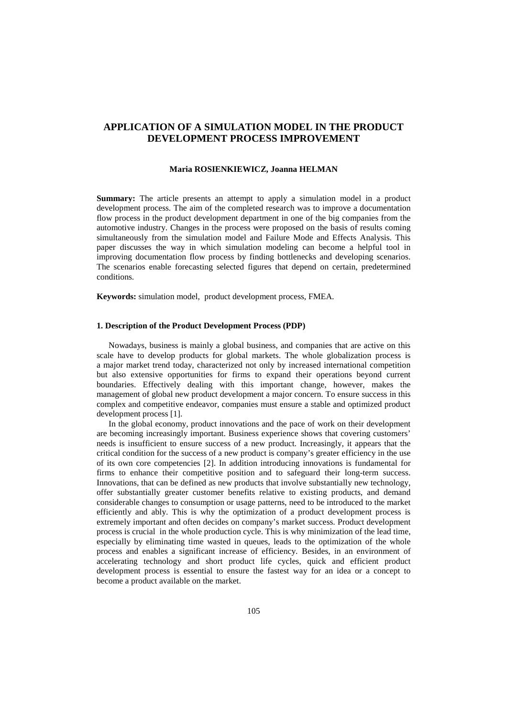# **APPLICATION OF A SIMULATION MODEL IN THE PRODUCT DEVELOPMENT PROCESS IMPROVEMENT**

#### **Maria ROSIENKIEWICZ, Joanna HELMAN**

**Summary:** The article presents an attempt to apply a simulation model in a product development process. The aim of the completed research was to improve a documentation flow process in the product development department in one of the big companies from the automotive industry. Changes in the process were proposed on the basis of results coming simultaneously from the simulation model and Failure Mode and Effects Analysis. This paper discusses the way in which simulation modeling can become a helpful tool in improving documentation flow process by finding bottlenecks and developing scenarios. The scenarios enable forecasting selected figures that depend on certain, predetermined conditions.

**Keywords:** simulation model, product development process, FMEA.

## **1. Description of the Product Development Process (PDP)**

Nowadays, business is mainly a global business, and companies that are active on this scale have to develop products for global markets. The whole globalization process is a major market trend today, characterized not only by increased international competition but also extensive opportunities for firms to expand their operations beyond current boundaries. Effectively dealing with this important change, however, makes the management of global new product development a major concern. To ensure success in this complex and competitive endeavor, companies must ensure a stable and optimized product development process [1].

In the global economy, product innovations and the pace of work on their development are becoming increasingly important. Business experience shows that covering customers' needs is insufficient to ensure success of a new product. Increasingly, it appears that the critical condition for the success of a new product is company's greater efficiency in the use of its own core competencies [2]. In addition introducing innovations is fundamental for firms to enhance their competitive position and to safeguard their long-term success. Innovations, that can be defined as new products that involve substantially new technology, offer substantially greater customer benefits relative to existing products, and demand considerable changes to consumption or usage patterns, need to be introduced to the market efficiently and ably. This is why the optimization of a product development process is extremely important and often decides on company's market success. Product development process is crucial in the whole production cycle. This is why minimization of the lead time, especially by eliminating time wasted in queues, leads to the optimization of the whole process and enables a significant increase of efficiency. Besides, in an environment of accelerating technology and short product life cycles, quick and efficient product development process is essential to ensure the fastest way for an idea or a concept to become a product available on the market.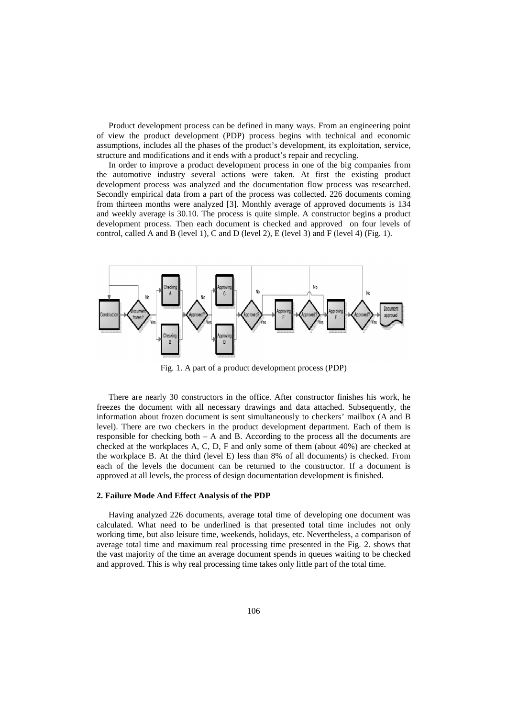Product development process can be defined in many ways. From an engineering point of view the product development (PDP) process begins with technical and econo assumptions, includes all the phases of the product's development, its exploitation, service, structure and modifications and it ends with a product's repair and recycling.

In order to improve a product development process in one of the big companies from the automotive industry several actions were taken. At first the existing product development process was analyzed and the documentation flow process was researched. Secondly empirical data from a part of the process was collected. 226 documents coming from thirteen months were analyzed [3]. Monthly average of approved documents is 134 and weekly average is 30.10. The process is quite simple. A constructor begins a product development process. Then each document is checked and approved on four levels control, called A and B (level 1), C and D (level 2), E (level 3) and F (level 4) (Fig. 1). . Monthly average of approved documents is 134 ss is quite simple. A constructor begins a product nent is checked and approved on four levels of



Fig. 1. A part of a product development process (PDP)

There are nearly 30 constructors in the office. After constructor finishes his work, he freezes the document with all necessary drawings and data attached. Subsequently, the information about frozen document is sent simultaneously to checkers' mailbox (A a and B Fig. 1. A part of a product development process (PDP)<br>There are nearly 30 constructors in the office. After constructor finishes his work, he<br>freezes the document with all necessary drawings and data attached. Subsequently responsible for checking both – A and B. According to the process all the documents are checked at the workplaces  $A, C, D, F$  and only some of them (about 40%) are checked at the workplace B. At the third (level E) less than 8% of all documents) is checked. From each of the levels the document can be returned to the constructor. If a document is approved at all levels, the process of design documentation development is finished.

#### **2. Failure Mode And Effect Analysis of the PDP**

Having analyzed 226 documents, average total time of developing one document was calculated. What need to be underlined is that presented total time includes not only working time, but also leisure time, weekends, holidays, etc. Nevertheless, a comparison of average total time and maximum real processing time presented in the Fig. 2. shows that the vast majority of the time an average document spends in queues waiting to be checked and approved. This is why real processing time takes only little part of the total time.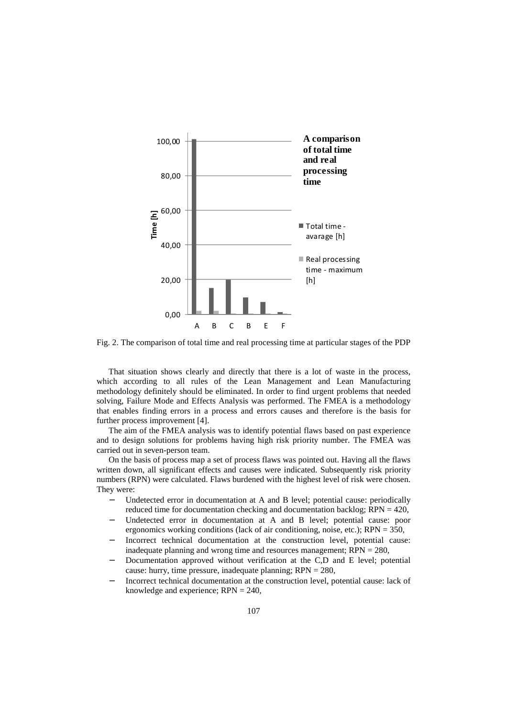

Fig. 2. The comparison of total time and real processing time at particular stages of the PDP

That situation shows clearly and directly that there is a lot of waste in the process, which according to all rules of the Lean Management and Lean Manufacturing methodology definitely should be eliminated. In order to find urgent problems that needed solving, Failure Mode and Effects Analysis was performed. The FMEA is a methodology that enables finding errors in a process and errors causes and therefore is the basis for further process improvement [4].

The aim of the FMEA analysis was to identify potential flaws based on past experience and to design solutions for problems having high risk priority number. The FMEA was carried out in seven-person team.

On the basis of process map a set of process flaws was pointed out. Having all the flaws written down, all significant effects and causes were indicated. Subsequently risk priority numbers (RPN) were calculated. Flaws burdened with the highest level of risk were chosen. They were:

- Undetected error in documentation at A and B level; potential cause: periodically reduced time for documentation checking and documentation backlog;  $RPN = 420$ ,
- Undetected error in documentation at A and B level; potential cause: poor ergonomics working conditions (lack of air conditioning, noise, etc.); RPN = 350,
- Incorrect technical documentation at the construction level, potential cause: inadequate planning and wrong time and resources management; RPN = 280,
- Documentation approved without verification at the C,D and E level; potential cause: hurry, time pressure, inadequate planning; RPN = 280,
- Incorrect technical documentation at the construction level, potential cause: lack of knowledge and experience; RPN = 240,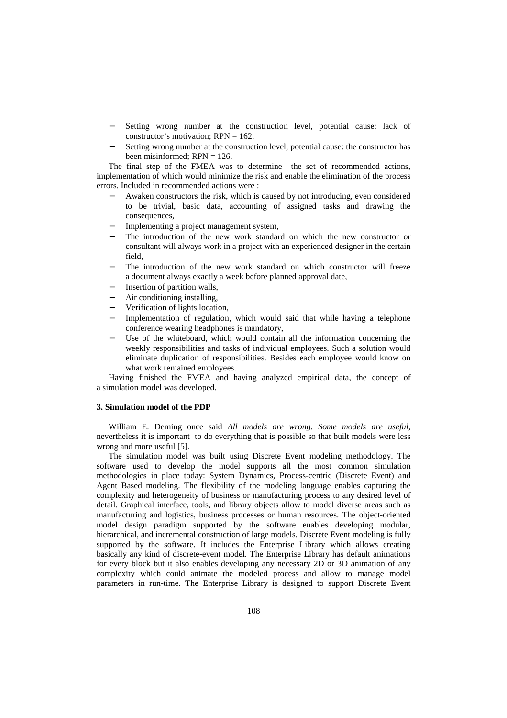- Setting wrong number at the construction level, potential cause: lack of constructor's motivation;  $RPN = 162$ ,
- Setting wrong number at the construction level, potential cause: the constructor has been misinformed:  $RPN = 126$ .

The final step of the FMEA was to determine the set of recommended actions, implementation of which would minimize the risk and enable the elimination of the process errors. Included in recommended actions were :

- − Awaken constructors the risk, which is caused by not introducing, even considered to be trivial, basic data, accounting of assigned tasks and drawing the consequences,
- Implementing a project management system,
- The introduction of the new work standard on which the new constructor or consultant will always work in a project with an experienced designer in the certain field,
- The introduction of the new work standard on which constructor will freeze a document always exactly a week before planned approval date,
- Insertion of partition walls,
- − Air conditioning installing,
- − Verification of lights location,
- Implementation of regulation, which would said that while having a telephone conference wearing headphones is mandatory,
- Use of the whiteboard, which would contain all the information concerning the weekly responsibilities and tasks of individual employees. Such a solution would eliminate duplication of responsibilities. Besides each employee would know on what work remained employees.

Having finished the FMEA and having analyzed empirical data, the concept of a simulation model was developed.

## **3. Simulation model of the PDP**

William E. Deming once said *All models are wrong. Some models are useful*, nevertheless it is important to do everything that is possible so that built models were less wrong and more useful [5].

The simulation model was built using Discrete Event modeling methodology. The software used to develop the model supports all the most common simulation methodologies in place today: System Dynamics, Process-centric (Discrete Event) and Agent Based modeling. The flexibility of the modeling language enables capturing the complexity and heterogeneity of business or manufacturing process to any desired level of detail. Graphical interface, tools, and library objects allow to model diverse areas such as manufacturing and logistics, business processes or human resources. The object-oriented model design paradigm supported by the software enables developing modular, hierarchical, and incremental construction of large models. Discrete Event modeling is fully supported by the software. It includes the Enterprise Library which allows creating basically any kind of discrete-event model. The Enterprise Library has default animations for every block but it also enables developing any necessary 2D or 3D animation of any complexity which could animate the modeled process and allow to manage model parameters in run-time. The Enterprise Library is designed to support Discrete Event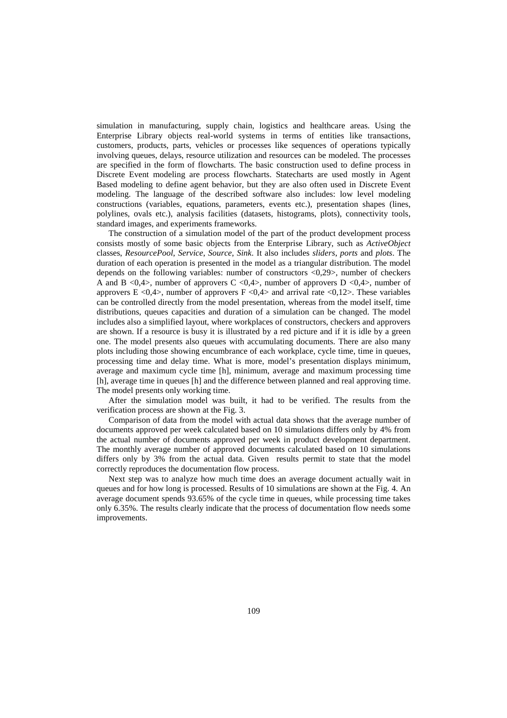simulation in manufacturing, supply chain, logistics and healthcare areas. Using the Enterprise Library objects real-world systems in terms of entities like transactions, customers, products, parts, vehicles or processes like sequences of operations typically involving queues, delays, resource utilization and resources can be modeled. The processes are specified in the form of flowcharts. The basic construction used to define process in Discrete Event modeling are process flowcharts. Statecharts are used mostly in Agent Based modeling to define agent behavior, but they are also often used in Discrete Event modeling. The language of the described software also includes: low level modeling constructions (variables, equations, parameters, events etc.), presentation shapes (lines, polylines, ovals etc.), analysis facilities (datasets, histograms, plots), connectivity tools, standard images, and experiments frameworks.

The construction of a simulation model of the part of the product development process consists mostly of some basic objects from the Enterprise Library, such as *ActiveObject* classes, *ResourcePool*, *Service*, *Source*, *Sink*. It also includes *sliders*, *ports* and *plots*. The duration of each operation is presented in the model as a triangular distribution. The model depends on the following variables: number of constructors <0,29>, number of checkers A and B <0,4>, number of approvers C <0,4>, number of approvers D <0,4 $>$ , number of approvers E <0,4>, number of approvers F <0,4 $>$  and arrival rate <0,12 $>$ . These variables can be controlled directly from the model presentation, whereas from the model itself, time distributions, queues capacities and duration of a simulation can be changed. The model includes also a simplified layout, where workplaces of constructors, checkers and approvers are shown. If a resource is busy it is illustrated by a red picture and if it is idle by a green one. The model presents also queues with accumulating documents. There are also many plots including those showing encumbrance of each workplace, cycle time, time in queues, processing time and delay time. What is more, model's presentation displays minimum, average and maximum cycle time [h], minimum, average and maximum processing time [h], average time in queues [h] and the difference between planned and real approving time. The model presents only working time.

After the simulation model was built, it had to be verified. The results from the verification process are shown at the Fig. 3.

Comparison of data from the model with actual data shows that the average number of documents approved per week calculated based on 10 simulations differs only by 4% from the actual number of documents approved per week in product development department. The monthly average number of approved documents calculated based on 10 simulations differs only by 3% from the actual data. Given results permit to state that the model correctly reproduces the documentation flow process.

Next step was to analyze how much time does an average document actually wait in queues and for how long is processed. Results of 10 simulations are shown at the Fig. 4. An average document spends 93.65% of the cycle time in queues, while processing time takes only 6.35%. The results clearly indicate that the process of documentation flow needs some improvements.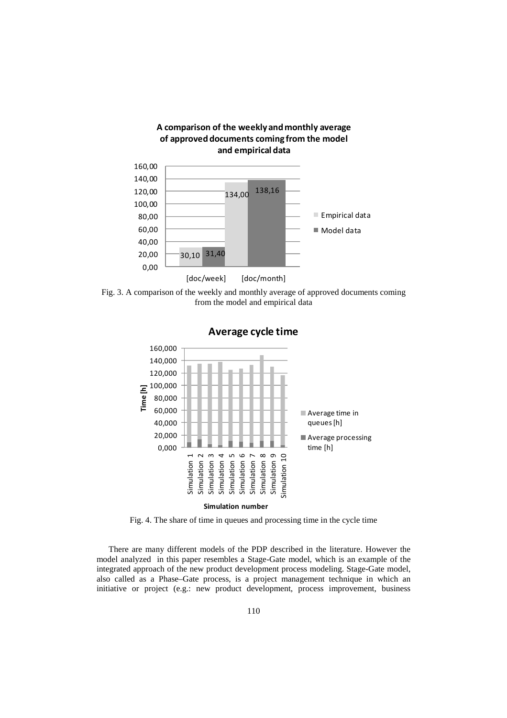

Fig. 3. A comparison of the weekly and monthly average of approved documents coming from the model and empirical data



Fig. 4. The share of time in queues and processing time in the cycle time

There are many different models of the PDP described in the literature. However the model analyzed in this paper resembles a Stage-Gate model, which is an example of the integrated approach of the new product development process modeling. Stage-Gate model, also called as a Phase–Gate process, is a project management technique in which an initiative or project (e.g.: new product development, process improvement, business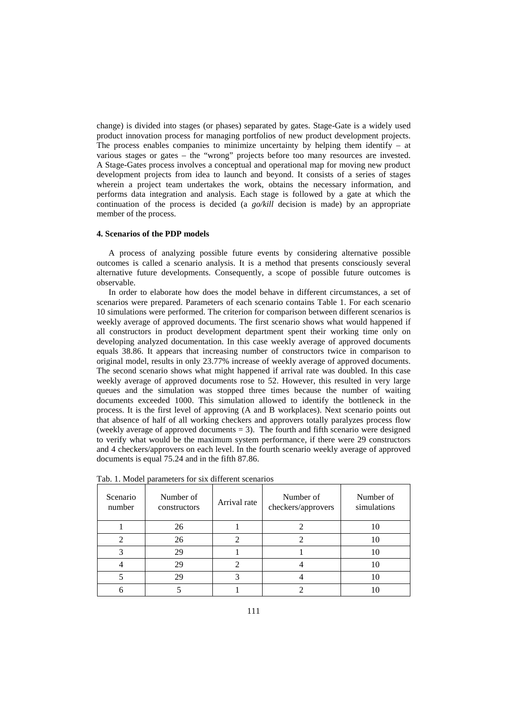change) is divided into stages (or phases) separated by gates. Stage-Gate is a widely used product innovation process for managing portfolios of new product development projects. The process enables companies to minimize uncertainty by helping them identify  $-$  at various stages or gates – the "wrong" projects before too many resources are invested. A Stage-Gates process involves a conceptual and operational map for moving new product development projects from idea to launch and beyond. It consists of a series of stages wherein a project team undertakes the work, obtains the necessary information, and performs data integration and analysis. Each stage is followed by a gate at which the continuation of the process is decided (a *go/kill* decision is made) by an appropriate member of the process.

## **4. Scenarios of the PDP models**

A process of analyzing possible future events by considering alternative possible outcomes is called a scenario analysis. It is a method that presents consciously several alternative future developments. Consequently, a scope of possible future outcomes is observable.

In order to elaborate how does the model behave in different circumstances, a set of scenarios were prepared. Parameters of each scenario contains Table 1. For each scenario 10 simulations were performed. The criterion for comparison between different scenarios is weekly average of approved documents. The first scenario shows what would happened if all constructors in product development department spent their working time only on developing analyzed documentation. In this case weekly average of approved documents equals 38.86. It appears that increasing number of constructors twice in comparison to original model, results in only 23.77% increase of weekly average of approved documents. The second scenario shows what might happened if arrival rate was doubled. In this case weekly average of approved documents rose to 52. However, this resulted in very large queues and the simulation was stopped three times because the number of waiting documents exceeded 1000. This simulation allowed to identify the bottleneck in the process. It is the first level of approving (A and B workplaces). Next scenario points out that absence of half of all working checkers and approvers totally paralyzes process flow (weekly average of approved documents  $= 3$ ). The fourth and fifth scenario were designed to verify what would be the maximum system performance, if there were 29 constructors and 4 checkers/approvers on each level. In the fourth scenario weekly average of approved documents is equal 75.24 and in the fifth 87.86.

| Scenario<br>number | Number of<br>constructors | Arrival rate | Number of<br>checkers/approvers | Number of<br>simulations |
|--------------------|---------------------------|--------------|---------------------------------|--------------------------|
|                    | 26                        |              |                                 |                          |
|                    | 26                        |              |                                 | 10                       |
|                    | 29                        |              |                                 | 10                       |
|                    | 29                        |              |                                 | 10                       |
|                    | 29                        |              |                                 | 10                       |
|                    |                           |              |                                 |                          |

Tab. 1. Model parameters for six different scenarios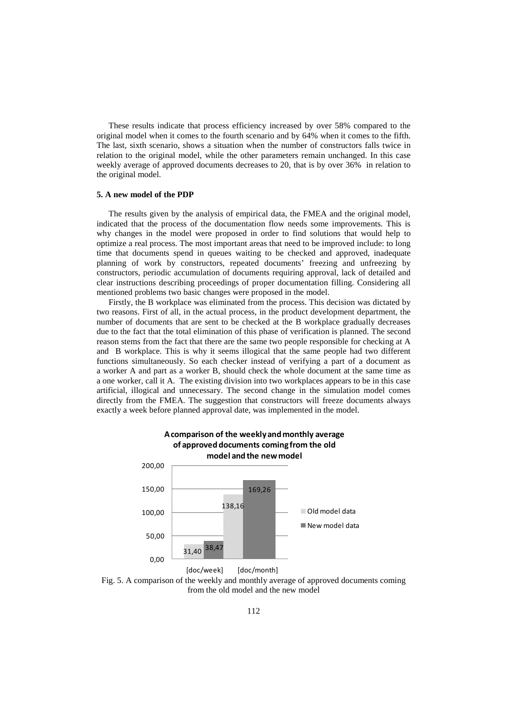These results indicate that process efficiency increased by over 58% compared to the original model when it comes to the fourth scenario and by 64% when it comes to the fifth. The last, sixth scenario, shows a situation when the number of constructors falls twice in relation to the original model, while the other parameters remain unchanged. In this case weekly average of approved documents decreases to 20, that is by over 36% in relation to the original model.

## **5. A new model of the PDP**

The results given by the analysis of empirical data, the FMEA and the original model, indicated that the process of the documentation flow needs some improvements. This is why changes in the model were proposed in order to find solutions that would help to optimize a real process. The most important areas that need to be improved include: to long time that documents spend in queues waiting to be checked and approved, inadequate planning of work by constructors, repeated documents' freezing and unfreezing by constructors, periodic accumulation of documents requiring approval, lack of detailed and clear instructions describing proceedings of proper documentation filling. Considering all mentioned problems two basic changes were proposed in the model.

Firstly, the B workplace was eliminated from the process. This decision was dictated by two reasons. First of all, in the actual process, in the product development department, the number of documents that are sent to be checked at the B workplace gradually decreases due to the fact that the total elimination of this phase of verification is planned. The second reason stems from the fact that there are the same two people responsible for checking at A and B workplace. This is why it seems illogical that the same people had two different functions simultaneously. So each checker instead of verifying a part of a document as a worker A and part as a worker B, should check the whole document at the same time as a one worker, call it A. The existing division into two workplaces appears to be in this case artificial, illogical and unnecessary. The second change in the simulation model comes directly from the FMEA. The suggestion that constructors will freeze documents always exactly a week before planned approval date, was implemented in the model.



Fig. 5. A comparison of the weekly and monthly average of approved documents coming from the old model and the new model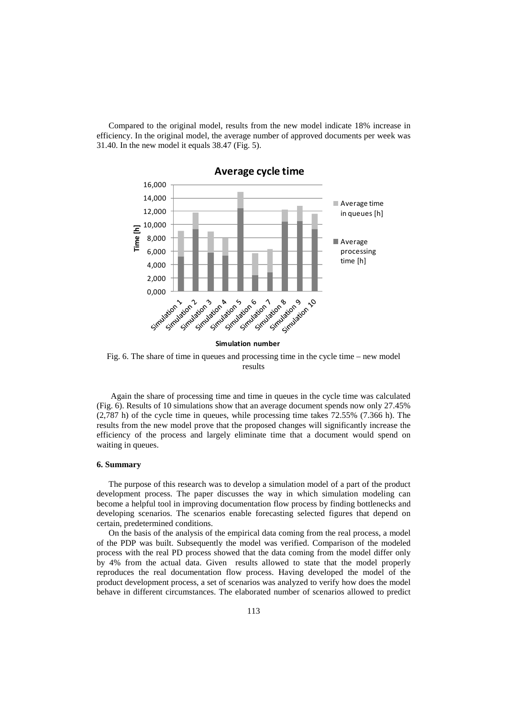Compared to the original model, results from the new model indicate 18% increase in efficiency. In the original model, the average number of approved documents per week was 31.40. In the new model it equals 38.47 (Fig. 5).



Fig. 6. The share of time in queues and processing time in the cycle time – new model results

 Again the share of processing time and time in queues in the cycle time was calculated (Fig. 6). Results of 10 simulations show that an average document spends now only 27.45% (2,787 h) of the cycle time in queues, while processing time takes 72.55% (7.366 h). The results from the new model prove that the proposed changes will significantly increase the efficiency of the process and largely eliminate time that a document would spend on waiting in queues.

### **6. Summary**

The purpose of this research was to develop a simulation model of a part of the product development process. The paper discusses the way in which simulation modeling can become a helpful tool in improving documentation flow process by finding bottlenecks and developing scenarios. The scenarios enable forecasting selected figures that depend on certain, predetermined conditions.

On the basis of the analysis of the empirical data coming from the real process, a model of the PDP was built. Subsequently the model was verified. Comparison of the modeled process with the real PD process showed that the data coming from the model differ only by 4% from the actual data. Given results allowed to state that the model properly reproduces the real documentation flow process. Having developed the model of the product development process, a set of scenarios was analyzed to verify how does the model behave in different circumstances. The elaborated number of scenarios allowed to predict